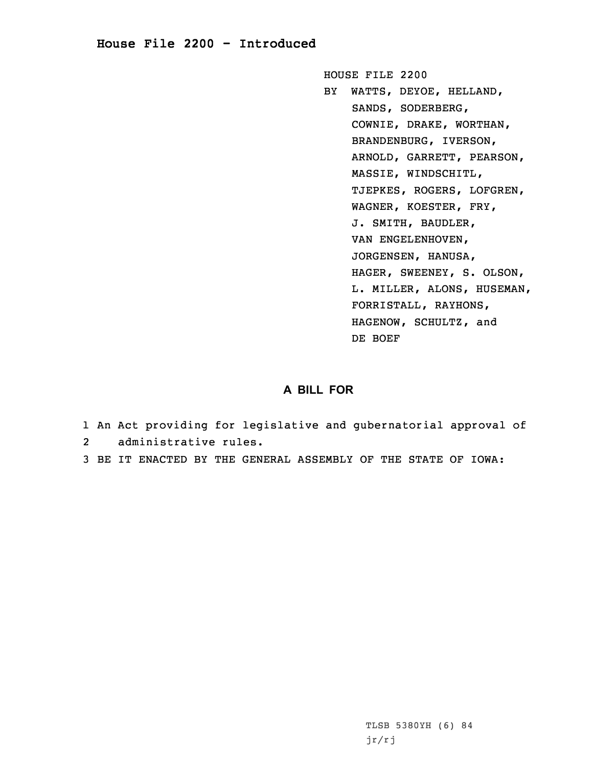## **House File 2200 - Introduced**

HOUSE FILE 2200 BY WATTS, DEYOE, HELLAND, SANDS, SODERBERG, COWNIE, DRAKE, WORTHAN, BRANDENBURG, IVERSON, ARNOLD, GARRETT, PEARSON, MASSIE, WINDSCHITL, TJEPKES, ROGERS, LOFGREN, WAGNER, KOESTER, FRY, J. SMITH, BAUDLER, VAN ENGELENHOVEN, JORGENSEN, HANUSA, HAGER, SWEENEY, S. OLSON, L. MILLER, ALONS, HUSEMAN, FORRISTALL, RAYHONS, HAGENOW, SCHULTZ, and DE BOEF

## **A BILL FOR**

- 1 An Act providing for legislative and gubernatorial approval of 2administrative rules.
- 3 BE IT ENACTED BY THE GENERAL ASSEMBLY OF THE STATE OF IOWA:

TLSB 5380YH (6) 84 jr/rj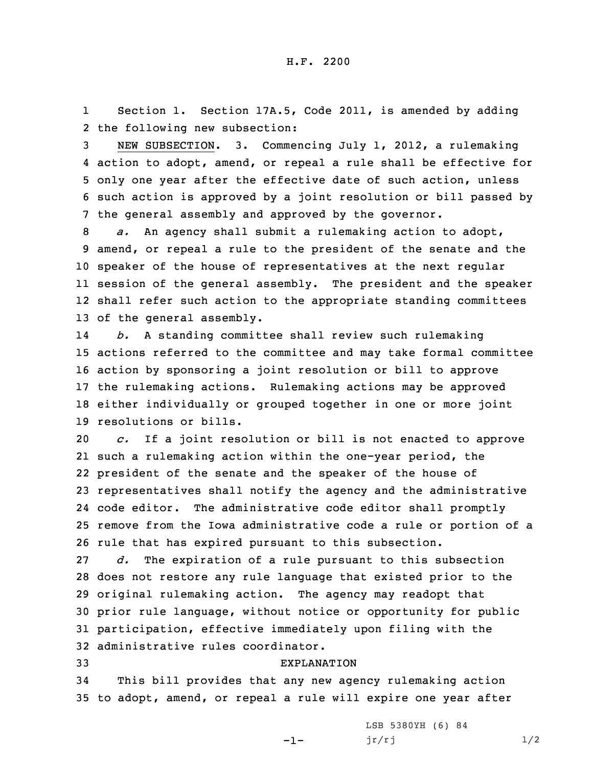1 Section 1. Section 17A.5, Code 2011, is amended by adding 2 the following new subsection:

 NEW SUBSECTION. 3. Commencing July 1, 2012, <sup>a</sup> rulemaking action to adopt, amend, or repeal <sup>a</sup> rule shall be effective for only one year after the effective date of such action, unless such action is approved by <sup>a</sup> joint resolution or bill passed by the general assembly and approved by the governor.

 *a.* An agency shall submit <sup>a</sup> rulemaking action to adopt, amend, or repeal <sup>a</sup> rule to the president of the senate and the speaker of the house of representatives at the next regular session of the general assembly. The president and the speaker shall refer such action to the appropriate standing committees of the general assembly.

14 *b.* <sup>A</sup> standing committee shall review such rulemaking actions referred to the committee and may take formal committee action by sponsoring <sup>a</sup> joint resolution or bill to approve the rulemaking actions. Rulemaking actions may be approved either individually or grouped together in one or more joint resolutions or bills.

 *c.* If <sup>a</sup> joint resolution or bill is not enacted to approve such <sup>a</sup> rulemaking action within the one-year period, the president of the senate and the speaker of the house of representatives shall notify the agency and the administrative code editor. The administrative code editor shall promptly remove from the Iowa administrative code <sup>a</sup> rule or portion of <sup>a</sup> rule that has expired pursuant to this subsection.

 *d.* The expiration of <sup>a</sup> rule pursuant to this subsection does not restore any rule language that existed prior to the original rulemaking action. The agency may readopt that prior rule language, without notice or opportunity for public participation, effective immediately upon filing with the administrative rules coordinator.

## 33 EXPLANATION

34 This bill provides that any new agency rulemaking action 35 to adopt, amend, or repeal <sup>a</sup> rule will expire one year after

-1-

LSB 5380YH (6) 84  $jr/rj$  1/2